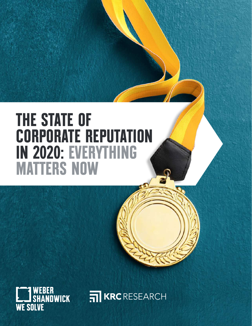# **THE STATE OF CORPORATE REPUTATION IN 2020: EVERYTHING MATTERS NOW**



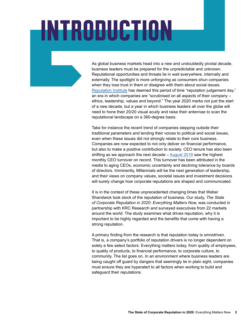# **INTRODUCTION**

As global business markets head into a new and undoubtedly pivotal decade, business leaders must be prepared for the unpredictable and unknown. Reputational opportunities and threats lie in wait everywhere, internally and externally. The spotlight is more unforgiving as consumers shun companies when they lose trust in them or disagree with them about social issues. [Reputation Institute](https://www.reputationinstitute.com/global-reptrak-100) has deemed this period of time "reputation judgement day," an era in which companies are "scrutinised on all aspects of their company – ethics, leadership, values and beyond." The year 2020 marks not just the start of a new decade, but a year in which business leaders all over the globe will need to hone their 20/20 visual acuity and raise their antennae to scan the reputational landscape on a 360-degree basis.

Take for instance the recent trend of companies stepping outside their traditional parameters and lending their voices to political and social issues, even when these issues did not strongly relate to their core business. Companies are now expected to not only deliver on financial performance, but also to make a positive contribution to society. CEO tenure has also been shifting as we approach the next decade – [August 2019](http://www.challengergray.com/press/press-releases/2019-september-ceo-turnover-report-highest-ytd-quarterly-totals-record) saw the highest monthly CEO turnover on record. This turnover has been attributed in the media to aging CEOs, economic uncertainty and declining tolerance by boards of directors. Imminently, Millennials will be the next generation of leadership, and their views on company values, societal issues and investment decisions will surely change how corporate reputations are shaped and communicated.

It is in the context of these unprecedented changing times that Weber Shandwick took stock of the reputation of business. Our study, *The State of Corporate Reputation in 2020: Everything Matters Now,* was conducted in partnership with KRC Research and surveyed executives from 22 markets around the world. The study examines what drives reputation, why it is important to be highly regarded and the benefits that come with having a strong reputation.

A primary finding from the research is that reputation today is omnidriven. That is, a company's portfolio of reputation drivers is no longer dependent on solely a few select factors. Everything matters today, from quality of employees, to quality of products, to financial performance, to corporate culture, to community. The list goes on. In an environment where business leaders are being caught off guard by dangers that seemingly lie in plain sight, companies must ensure they are hyperalert to all factors when working to build and safeguard their reputations.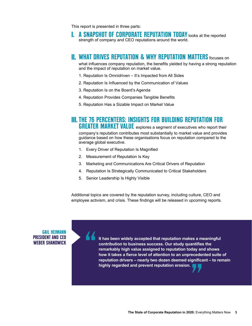This report is presented in three parts:

**A SNAPSHOT OF CORPORATE REPUTATION TODAY** looks at the reported strength of company and CEO reputations around the world.

#### **II. WHAT DRIVES REPUTATION & WHY REPUTATION MATTERS** focuses on

what influences company reputation, the benefits yielded by having a strong reputation and the impact of reputation on market value.

- 1. Reputation Is Omnidriven It's Impacted from All Sides
- 2. Reputation Is Influenced by the Communication of Values
- 3. Reputation Is on the Board's Agenda
- 4. Reputation Provides Companies Tangible Benefits
- 5. Reputation Has a Sizable Impact on Market Value

#### **III. THE 76 PERCENTERS: INSIGHTS FOR BUILDING REPUTATION FOR GREATER MARKET VALUE** explores a segment of executives who report their

company's reputation contributes most substantially to market value and provides guidance based on how these organisations focus on reputation compared to the average global executive.

- 1. Every Driver of Reputation Is Magnified
- 2. Measurement of Reputation Is Key
- 3. Marketing and Communications Are Critical Drivers of Reputation
- 4. Reputation Is Strategically Communicated to Critical Stakeholders
- 5. Senior Leadership Is Highly Visible

Additional topics are covered by the reputation survey, including culture, CEO and employee activism, and crisis. These findings will be released in upcoming reports.

#### **GAIL HEIMANN PRESIDENT AND CEO WEBER SHANDWICK**

**" It has been widely accepted that reputation makes a meaningful contribution to business success. Our study quantifies the remarkably high value assigned to reputation today and shows how it takes a fierce level of attention to an unprecedented suite of reputation drivers – nearly two dozen deemed significant – to remain highly right value assights to reputation today and how it takes a fierce level of attention to an unprecede reputation drivers – nearly two dozen deemed significationly regarded and prevent reputation erosion.**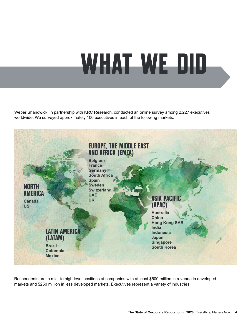# **WHAT WE DID**

Weber Shandwick, in partnership with KRC Research, conducted an online survey among 2,227 executives worldwide. We surveyed approximately 100 executives in each of the following markets:



Respondents are in mid- to high-level positions at companies with at least \$500 million in revenue in developed markets and \$250 million in less developed markets. Executives represent a variety of industries.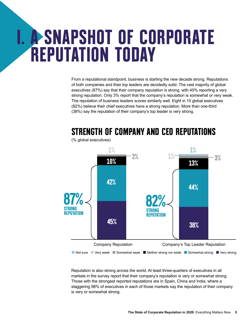# **I. A SNAPSHOT OF CORPORATE REPUTATION TODAY**

From a reputational standpoint, business is starting the new decade strong. Reputations of both companies and their top leaders are decidedly solid. The vast majority of global executives (87%) say that their company reputation is strong, with 45% reporting a very strong reputation. Only 3% report that the company's reputation is somewhat or very weak. The reputation of business leaders scores similarly well. Eight in 10 global executives (82%) believe their chief executives have a strong reputation. More than one-third (38%) say the reputation of their company's top leader is very strong.



**STRENGTH OF COMPANY AND CEO REPUTATIONS**

Reputation is also strong across the world. At least three-quarters of executives in all markets in the survey report that their company's reputation is very or somewhat strong. Those with the strongest reported reputations are in Spain, China and India, where a staggering 98% of executives in each of those markets say the reputation of their company is very or somewhat strong.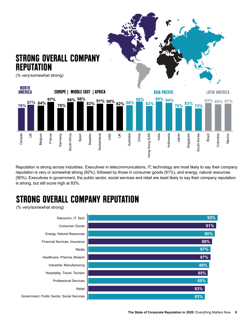

Reputation is strong across industries. Executives in telecommunications, IT, technology are most likely to say their company reputation is very or somewhat strong (92%), followed by those in consumer goods (91%), and energy, natural resources (90%). Executives in government, the public sector, social services and retail are least likely to say their company reputation

## **STRONG OVERALL COMPANY REPUTATION**

(% very/somewhat strong)

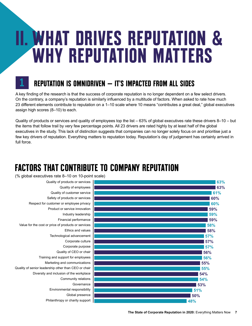# **II. WHAT DRIVES REPUTATION & WHY REPUTATION MATTERS**



### **REPUTATION IS OMNIDRIVEN — IT'S IMPACTED FROM ALL SIDES**

A key finding of the research is that the success of corporate reputation is no longer dependent on a few select drivers. On the contrary, a company's reputation is similarly influenced by a multitude of factors. When asked to rate how much 23 different elements contribute to reputation on a 1–10 scale where 10 means "contributes a great deal," global executives assign high scores (8–10) to each.

Quality of products or services and quality of employees top the list – 63% of global executives rate these drivers 8–10 – but the items that follow trail by very few percentage points. All 23 drivers are rated highly by at least half of the global executives in the study. This lack of distinction suggests that companies can no longer solely focus on and prioritise just a few key drivers of reputation. Everything matters to reputation today. Reputation's day of judgement has certainly arrived in full force.

## **FACTORS THAT CONTRIBUTE TO COMPANY REPUTATION**

(% global executives rate 8–10 on 10-point scale) Quality of products or services Quality of employees Quality of customer service Safety of products or services Respect for customer or employee privacy Product or service innovation Industry leadership Financial performance Value for the cost or price of products or services Ethics and values Technological advancement Corporate culture Corporate purpose Quality of CEO or chair Training and support for employees Marketing and communications Quality of senior leadership other than CEO or chair Diversity and inclusion of the workplace Community relations Governance Environmental responsibility Global presence Philanthropy or charity support **61% 60% 60% 59% 59% 59% 58% 58% 57% 57% 57% 56% 56% 55% 55% 54% 54% 53% 51% 50% 48%**

**63% 63%**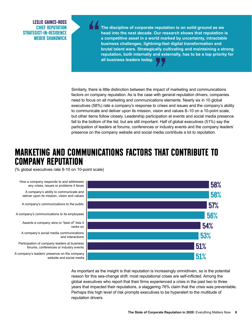**LESLIE GAINES-ROSS CHIEF REPUTATION STRATEGIST-IN-RESIDENCE WEBER SHANDWICK**

**The discipline of corporate reputation is on solid ground as we head into the next decade. Our research shows that reputation is a competitive asset in a world marked by uncertainty, intractable business challenges, lightning-fast digital transformation and brutal talent wars. Strategically cultivating and maintaining a strong reputation, both internally and externally, has to be a top priority for all business leaders today. " a**<br>ally cu<br>and ext<br>and ext<br>and and and and an

Similarly, there is little distinction between the impact of marketing and communications factors on company reputation. As is the case with general reputation drivers, companies need to focus on all marketing and communications elements. Nearly six in 10 global executives (58%) rate a company's response to crises and issues and the company's ability to communicate and deliver upon its mission, vision and values 8–10 on a 10-point scale, but other items follow closely. Leadership participation at events and social media presence fall to the bottom of the list, but are still important. Half of global executives (51%) say the participation of leaders at forums, conferences or industry events and the company leaders' presence on the company website and social media contribute a lot to reputation.

#### **MARKETING AND COMMUNICATIONS FACTORS THAT CONTRIBUTE TO COMPANY REPUTATION**

(% global executives rate 8-10 on 10-point scale)



As important as the insight is that reputation is increasingly omnidriven, so is the potential reason for this sea-change shift: most reputational crises are self-inflicted. Among the global executives who report that their firms experienced a crisis in the past two to three years that impacted their reputations, a staggering 76% claim that the crisis was preventable. Perhaps this high level of risk prompts executives to be hyperalert to the multitude of reputation drivers.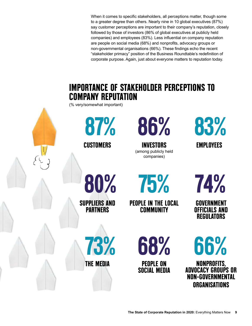When it comes to specific stakeholders, all perceptions matter, though some to a greater degree than others. Nearly nine in 10 global executives (87%) say customer perceptions are important to their company's reputation, closely followed by those of investors (86% of global executives at publicly held companies) and employees (83%). Less influential on company reputation are people on social media (68%) and nonprofits, advocacy groups or non-governmental organisations (66%). These findings echo the recent "stakeholder primacy" position of the Business Roundtable's redefinition of corporate purpose. Again, just about everyone matters to reputation today.

### **IMPORTANCE OF STAKEHOLDER PERCEPTIONS TO COMPANY REPUTATION**

(% very/somewhat important)

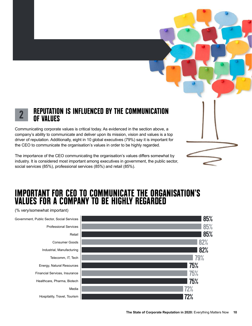

#### **REPUTATION IS INFLUENCED BY THE COMMUNICATION OF VALUES 2**

Communicating corporate values is critical today. As evidenced in the section above, a company's ability to communicate and deliver upon its mission, vision and values is a top driver of reputation. Additionally, eight in 10 global executives (79%) say it is important for the CEO to communicate the organisation's values in order to be highly regarded.

The importance of the CEO communicating the organisation's values differs somewhat by industry. It is considered most important among executives in government, the public sector, social services (85%), professional services (85%) and retail (85%).

#### **IMPORTANT FOR CEO TO COMMUNICATE THE ORGANISATION'S VALUES FOR A COMPANY TO BE HIGHLY REGARDED**

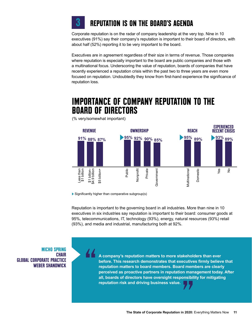

#### **REPUTATION IS ON THE BOARD'S AGENDA**

Corporate reputation is on the radar of company leadership at the very top. Nine in 10 executives (91%) say their company's reputation is important to their board of directors, with about half (52%) reporting it to be very important to the board.

Executives are in agreement regardless of their size in terms of revenue. Those companies where reputation is especially important to the board are public companies and those with a multinational focus. Underscoring the value of reputation, boards of companies that have recently experienced a reputation crisis within the past two to three years are even more focused on reputation. Undoubtedly they know from first-hand experience the significance of reputation loss.

#### **IMPORTANCE OF COMPANY REPUTATION TO THE BOARD OF DIRECTORS**



(% very/somewhat important)

 $\blacktriangleright$  Significantly higher than comparative subgroup(s)

Reputation is important to the governing board in all industries. More than nine in 10 executives in six industries say reputation is important to their board: consumer goods at 95%, telecommunications, IT, technology (93%), energy, natural resources (93%) retail (93%), and media and industrial, manufacturing both at 92%.

**MICHO SPRING CHAIR GLOBAL CORPORATE PRACTICE WEBER SHANDWICK**

**" A company's reputation matters to more stakeholders than ever before. This research demonstrates that executives firmly believe that reputation matters to board members. Board members are clearly perceived as proactive partners in reputation management today. After all, boards of directors have oversight responsibility for mitigating reputation matters to board members. Board members**<br>perceived as proactive partners in reputation man<br>all, boards of directors have oversight responsibil<br>reputation risk and driving business value.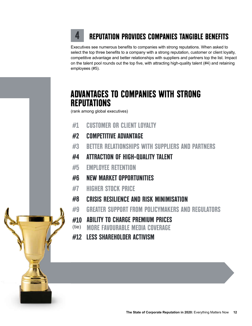### **REPUTATION PROVIDES COMPANIES TANGIBLE BENEFITS**

Executives see numerous benefits to companies with strong reputations. When asked to select the top three benefits to a company with a strong reputation, customer or client loyalty, competitive advantage and better relationships with suppliers and partners top the list. Impact on the talent pool rounds out the top five, with attracting high-quality talent (#4) and retaining employees (#5).

#### **ADVANTAGES TO COMPANIES WITH STRONG REPUTATIONS**

(rank among global executives)

**4**

- **#1 CUSTOMER OR CLIENT LOYALTY**
- **#2 COMPETITIVE ADVANTAGE**
- **#3 BETTER RELATIONSHIPS WITH SUPPLIERS AND PARTNERS**
- **#4 ATTRACTION OF HIGH-QUALITY TALENT**
- **#5 EMPLOYEE RETENTION**
- **#6 NEW MARKET OPPORTUNITIES**
- **#7 HIGHER STOCK PRICE**
- **#8 CRISIS RESILIENCE AND RISK MINIMISATION**
- **#9 GREATER SUPPORT FROM POLICYMAKERS AND REGULATORS**
- **#10 ABILITY TO CHARGE PREMIUM PRICES**
- (tie) **MORE FAVOURABLE MEDIA COVERAGE**
- **#12 LESS SHAREHOLDER ACTIVISM**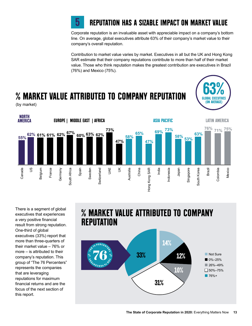

#### **REPUTATION HAS A SIZABLE IMPACT ON MARKET VALUE**

Corporate reputation is an invaluable asset with appreciable impact on a company's bottom line. On average, global executives attribute 63% of their company's market value to their company's overall reputation.

Contribution to market value varies by market. Executives in all but the UK and Hong Kong SAR estimate that their company reputations contribute to more than half of their market value. Those who think reputation makes the greatest contribution are executives in Brazil (76%) and Mexico (75%).



**% MARKET VALUE ATTRIBUTED TO COMPANY REPUTATION**

(by market)



There is a segment of global executives that experiences a very positive financial result from strong reputation. One-third of global executives (33%) report that more than three-quarters of their market value – 76% or more – is attributed to their company's reputation. This group of "The 76 Percenters" represents the companies that are leveraging reputations for maximum financial returns and are the focus of the next section of this report.

#### **% MARKET VALUE ATTRIBUTED TO COMPANY REPUTATION**

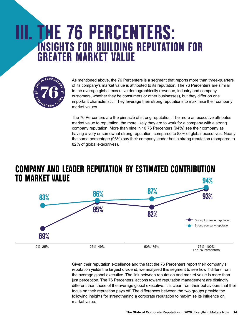# **III. THE 76 PERCENTERS: INSIGHTS FOR BUILDING REPUTATION FOR GREATER MARKET VALUE**



As mentioned above, the 76 Percenters is a segment that reports more than three-quarters of its company's market value is attributed to its reputation. The 76 Percenters are similar to the average global executive demographically (revenue, industry and company customers, whether they be consumers or other businesses), but they differ on one important characteristic: They leverage their strong reputations to maximise their company market values.

The 76 Percenters are the pinnacle of strong reputation. The more an executive attributes market value to reputation, the more likely they are to work for a company with a strong company reputation. More than nine in 10 76 Percenters (94%) see their company as having a very or somewhat strong reputation, compared to 88% of global executives. Nearly the same percentage (93%) say their company leader has a strong reputation (compared to 82% of global executives).

#### **COMPANY AND LEADER REPUTATION BY ESTIMATED CONTRIBUTION TO MARKET VALUE 94%**



Given their reputation excellence and the fact the 76 Percenters report their company's reputation yields the largest dividend, we analysed this segment to see how it differs from the average global executive. The link between reputation and market value is more than just perception. The 76 Percenters' actions toward reputation management are distinctly different than those of the average global executive. It is clear from their behaviours that their focus on their reputation pays off. The differences between the two groups provide the following insights for strengthening a corporate reputation to maximise its influence on market value.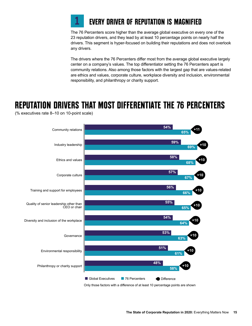

#### **EVERY DRIVER OF REPUTATION IS MAGNIFIED**

The 76 Percenters score higher than the average global executive on every one of the 23 reputation drivers, and they lead by at least 10 percentage points on nearly half the drivers. This segment is hyper-focused on building their reputations and does not overlook any drivers.

The drivers where the 76 Percenters differ most from the average global executive largely center on a company's values. The top differentiator setting the 76 Percenters apart is community relations. Also among those factors with the largest gap that are values-related are ethics and values, corporate culture, workplace diversity and inclusion, environmental responsibility, and philanthropy or charity support.

### **REPUTATION DRIVERS THAT MOST DIFFERENTIATE THE 76 PERCENTERS**

(% executives rate 8–10 on 10-point scale)

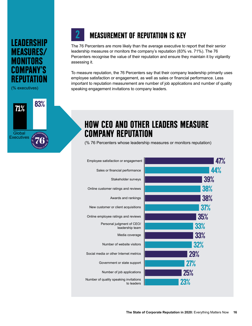#### **LEADERSHIP MEASURES/ MONITORS COMPANY'S REPUTATION**

**2**

(% executives)



### **MEASUREMENT OF REPUTATION IS KEY**

The 76 Percenters are more likely than the average executive to report that their senior leadership measures or monitors the company's reputation (83% vs. 71%). The 76 Percenters recognise the value of their reputation and ensure they maintain it by vigilantly assessing it.

To measure reputation, the 76 Percenters say that their company leadership primarily uses employee satisfaction or engagement, as well as sales or financial performance. Less important to reputation measurement are number of job applications and number of quality speaking engagement invitations to company leaders.

### **HOW CEO AND OTHER LEADERS MEASURE COMPANY REPUTATION**

(% 76 Percenters whose leadership measures or monitors reputation)

| Employee satisfaction or engagement                  | <b>47%</b> |
|------------------------------------------------------|------------|
| Sales or financial performance                       | 44%        |
| Stakeholder surveys                                  | 39%        |
| Online customer ratings and reviews                  | 38%        |
| Awards and rankings                                  | 38%        |
| New customer or client acquisitions                  | 37%        |
| Online employee ratings and reviews                  | 35%        |
| Personal judgment of CEO/<br>leadership team         | 33%        |
| Media coverage                                       | 33%        |
| Number of website visitors                           | <b>32%</b> |
| Social media or other Internet metrics               | <b>29%</b> |
| Government or state support                          | <b>27%</b> |
| Number of job applications                           | <b>25%</b> |
| Number of quality speaking invitations<br>to leaders | 23%        |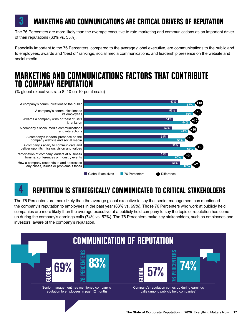

#### **MARKETING AND COMMUNICATIONS ARE CRITICAL DRIVERS OF REPUTATION**

The 76 Percenters are more likely than the average executive to rate marketing and communications as an important driver of their reputations (63% vs. 55%).

Especially important to the 76 Percenters, compared to the average global executive, are communications to the public and to employees, awards and "best of" rankings, social media communications, and leadership presence on the website and social media.

#### **MARKETING AND COMMUNICATIONS FACTORS THAT CONTRIBUTE TO COMPANY REPUTATION**

(% global executives rate 8–10 on 10-point scale)



## **4**

### **REPUTATION IS STRATEGICALLY COMMUNICATED TO CRITICAL STAKEHOLDERS**

The 76 Percenters are more likely than the average global executive to say that senior management has mentioned the company's reputation to employees in the past year (83% vs. 69%). Those 76 Percenters who work at publicly held companies are more likely than the average executive at a publicly held company to say the topic of reputation has come up during the company's earnings calls (74% vs. 57%). The 76 Percenters make key stakeholders, such as employees and investors, aware of the company's reputation.

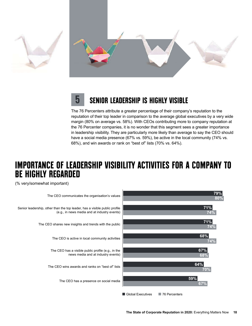

#### **SENIOR LEADERSHIP IS HIGHLY VISIBLE 5**

The 76 Percenters attribute a greater percentage of their company's reputation to the reputation of their top leader in comparison to the average global executives by a very wide margin (80% on average vs. 58%). With CEOs contributing more to company reputation at the 76 Percenter companies, it is no wonder that this segment sees a greater importance in leadership visibility. They are particularly more likely than average to say the CEO should have a social media presence (67% vs. 59%), be active in the local community (74% vs. 68%), and win awards or rank on "best of" lists (70% vs. 64%).

#### **IMPORTANCE OF LEADERSHIP VISIBILITY ACTIVITIES FOR A COMPANY TO BE HIGHLY REGARDED**

(% very/somewhat important)

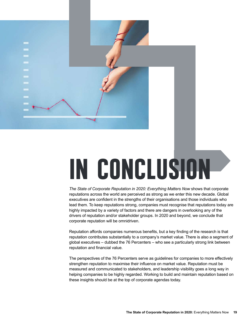

# **IN CONCLUSION**

*The State of Corporate Reputation in 2020: Everything Matters Now* shows that corporate reputations across the world are perceived as strong as we enter this new decade. Global executives are confident in the strengths of their organisations and those individuals who lead them. To keep reputations strong, companies must recognise that reputations today are highly impacted by a variety of factors and there are dangers in overlooking any of the drivers of reputation and/or stakeholder groups. In 2020 and beyond, we conclude that corporate reputation will be omnidriven.

Reputation affords companies numerous benefits, but a key finding of the research is that reputation contributes substantially to a company's market value. There is also a segment of global executives – dubbed the 76 Percenters – who see a particularly strong link between reputation and financial value.

The perspectives of the 76 Percenters serve as guidelines for companies to more effectively strengthen reputation to maximise their influence on market value. Reputation must be measured and communicated to stakeholders, and leadership visibility goes a long way in helping companies to be highly regarded. Working to build and maintain reputation based on these insights should be at the top of corporate agendas today.